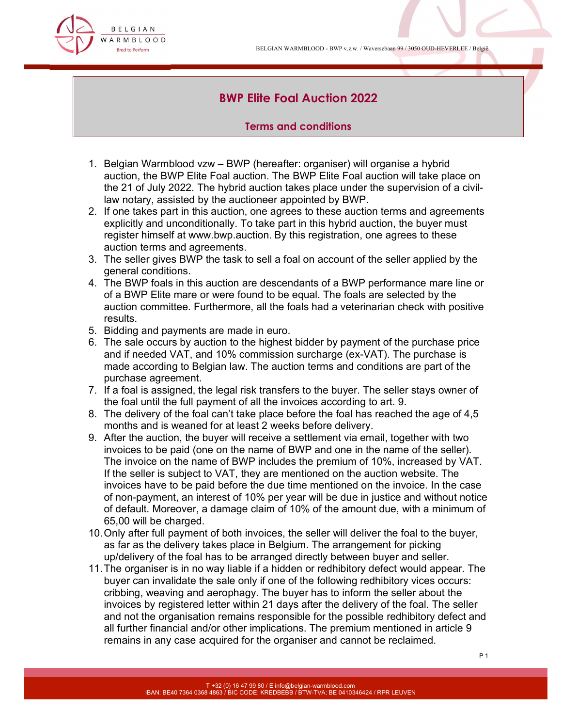BELGIAN WARMBLOOD - BWP v.z.w. / Waversebaan 99 / 3050 OUD-HEVERLEE / België



# BWP Elite Foal Auction 2022

### Terms and conditions

- 1. Belgian Warmblood vzw BWP (hereafter: organiser) will organise a hybrid auction, the BWP Elite Foal auction. The BWP Elite Foal auction will take place on the 21 of July 2022. The hybrid auction takes place under the supervision of a civillaw notary, assisted by the auctioneer appointed by BWP.
- 2. If one takes part in this auction, one agrees to these auction terms and agreements explicitly and unconditionally. To take part in this hybrid auction, the buyer must register himself at www.bwp.auction. By this registration, one agrees to these auction terms and agreements.
- 3. The seller gives BWP the task to sell a foal on account of the seller applied by the general conditions.
- 4. The BWP foals in this auction are descendants of a BWP performance mare line or of a BWP Elite mare or were found to be equal. The foals are selected by the auction committee. Furthermore, all the foals had a veterinarian check with positive results.
- 5. Bidding and payments are made in euro.
- 6. The sale occurs by auction to the highest bidder by payment of the purchase price and if needed VAT, and 10% commission surcharge (ex-VAT). The purchase is made according to Belgian law. The auction terms and conditions are part of the purchase agreement.
- 7. If a foal is assigned, the legal risk transfers to the buyer. The seller stays owner of the foal until the full payment of all the invoices according to art. 9.
- 8. The delivery of the foal can't take place before the foal has reached the age of 4,5 months and is weaned for at least 2 weeks before delivery.
- 9. After the auction, the buyer will receive a settlement via email, together with two invoices to be paid (one on the name of BWP and one in the name of the seller). The invoice on the name of BWP includes the premium of 10%, increased by VAT. If the seller is subject to VAT, they are mentioned on the auction website. The invoices have to be paid before the due time mentioned on the invoice. In the case of non-payment, an interest of 10% per year will be due in justice and without notice of default. Moreover, a damage claim of 10% of the amount due, with a minimum of 65,00 will be charged.
- 10. Only after full payment of both invoices, the seller will deliver the foal to the buyer, as far as the delivery takes place in Belgium. The arrangement for picking up/delivery of the foal has to be arranged directly between buyer and seller.
- 11. The organiser is in no way liable if a hidden or redhibitory defect would appear. The buyer can invalidate the sale only if one of the following redhibitory vices occurs: cribbing, weaving and aerophagy. The buyer has to inform the seller about the invoices by registered letter within 21 days after the delivery of the foal. The seller and not the organisation remains responsible for the possible redhibitory defect and all further financial and/or other implications. The premium mentioned in article 9 remains in any case acquired for the organiser and cannot be reclaimed.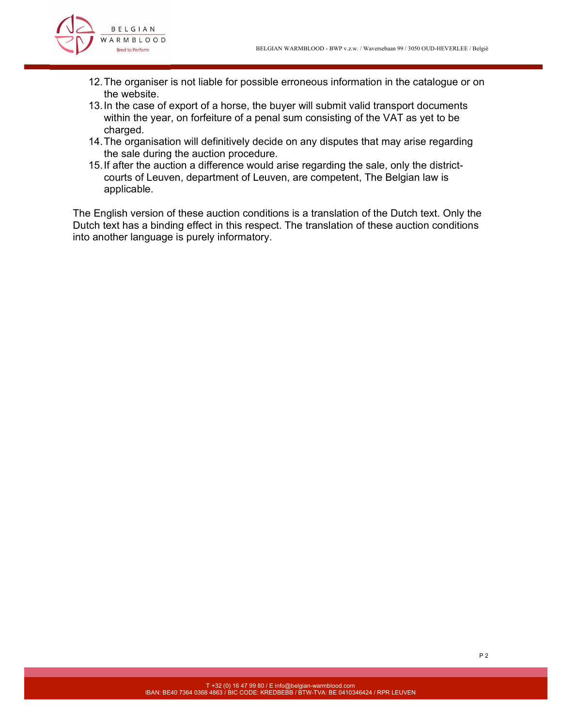

- 12. The organiser is not liable for possible erroneous information in the catalogue or on the website.
- 13. In the case of export of a horse, the buyer will submit valid transport documents within the year, on forfeiture of a penal sum consisting of the VAT as yet to be charged.
- 14. The organisation will definitively decide on any disputes that may arise regarding the sale during the auction procedure.
- 15. If after the auction a difference would arise regarding the sale, only the districtcourts of Leuven, department of Leuven, are competent, The Belgian law is applicable.

The English version of these auction conditions is a translation of the Dutch text. Only the Dutch text has a binding effect in this respect. The translation of these auction conditions into another language is purely informatory.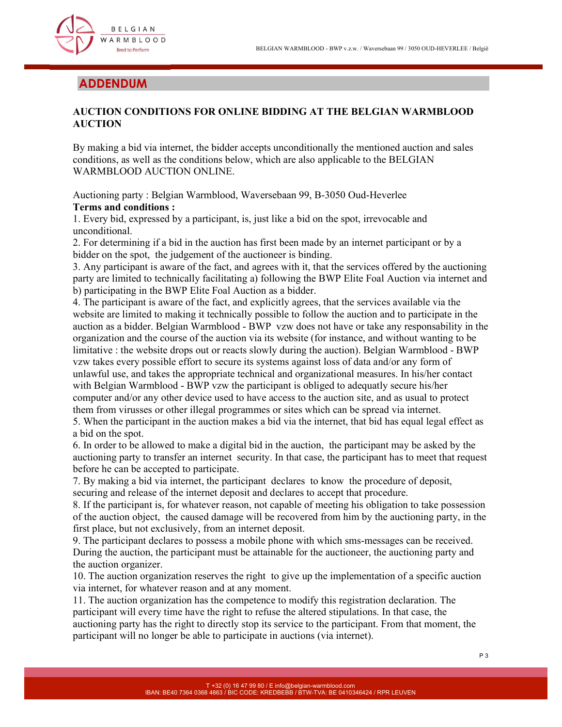

## ADDENDUM

## AUCTION CONDITIONS FOR ONLINE BIDDING AT THE BELGIAN WARMBLOOD AUCTION

By making a bid via internet, the bidder accepts unconditionally the mentioned auction and sales conditions, as well as the conditions below, which are also applicable to the BELGIAN WARMBLOOD AUCTION ONLINE.

Auctioning party : Belgian Warmblood, Waversebaan 99, B-3050 Oud-Heverlee Terms and conditions :

1. Every bid, expressed by a participant, is, just like a bid on the spot, irrevocable and unconditional.

2. For determining if a bid in the auction has first been made by an internet participant or by a bidder on the spot, the judgement of the auctioneer is binding.

3. Any participant is aware of the fact, and agrees with it, that the services offered by the auctioning party are limited to technically facilitating a) following the BWP Elite Foal Auction via internet and b) participating in the BWP Elite Foal Auction as a bidder.

4. The participant is aware of the fact, and explicitly agrees, that the services available via the website are limited to making it technically possible to follow the auction and to participate in the auction as a bidder. Belgian Warmblood - BWP vzw does not have or take any responsability in the organization and the course of the auction via its website (for instance, and without wanting to be limitative : the website drops out or reacts slowly during the auction). Belgian Warmblood - BWP vzw takes every possible effort to secure its systems against loss of data and/or any form of unlawful use, and takes the appropriate technical and organizational measures. In his/her contact with Belgian Warmblood - BWP vzw the participant is obliged to adequatly secure his/her computer and/or any other device used to have access to the auction site, and as usual to protect them from virusses or other illegal programmes or sites which can be spread via internet.

5. When the participant in the auction makes a bid via the internet, that bid has equal legal effect as a bid on the spot.

6. In order to be allowed to make a digital bid in the auction, the participant may be asked by the auctioning party to transfer an internet security. In that case, the participant has to meet that request before he can be accepted to participate.

7. By making a bid via internet, the participant declares to know the procedure of deposit, securing and release of the internet deposit and declares to accept that procedure.

8. If the participant is, for whatever reason, not capable of meeting his obligation to take possession of the auction object, the caused damage will be recovered from him by the auctioning party, in the first place, but not exclusively, from an internet deposit.

9. The participant declares to possess a mobile phone with which sms-messages can be received. During the auction, the participant must be attainable for the auctioneer, the auctioning party and the auction organizer.

10. The auction organization reserves the right to give up the implementation of a specific auction via internet, for whatever reason and at any moment.

11. The auction organization has the competence to modify this registration declaration. The participant will every time have the right to refuse the altered stipulations. In that case, the auctioning party has the right to directly stop its service to the participant. From that moment, the participant will no longer be able to participate in auctions (via internet).